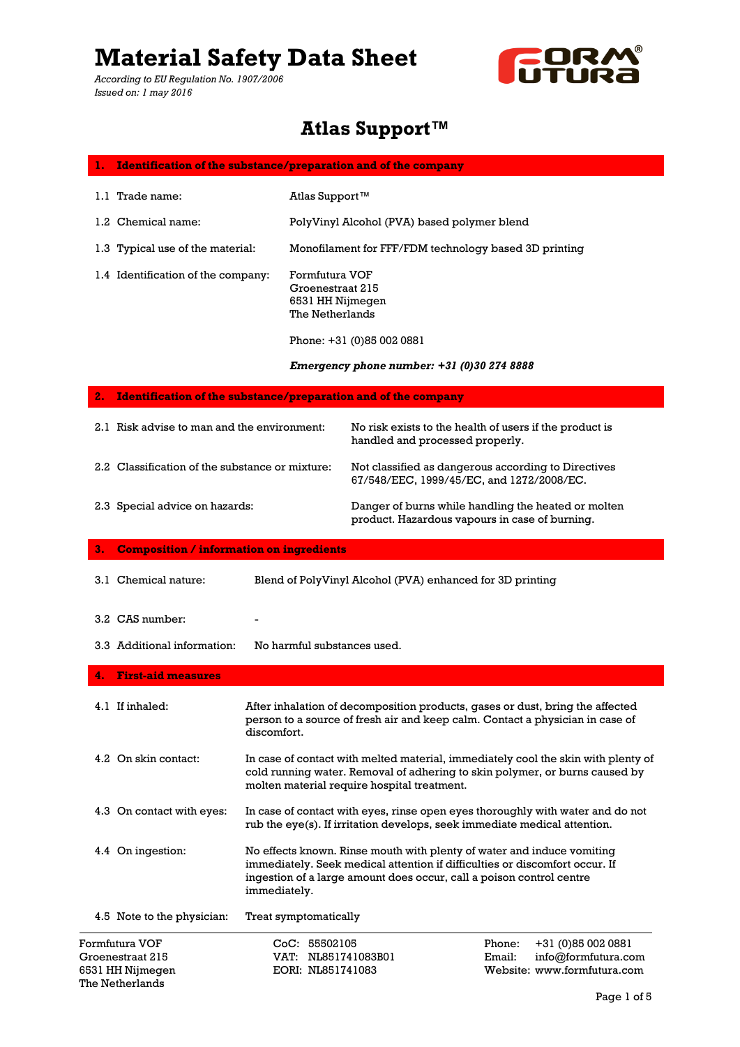*According to EU Regulation No. 1907/2006 Issued on: 1 may 2016*



### **Atlas Support™**

| <b>Identification of the substance/preparation and of the company</b><br>ı. |                                                                           |                                                                                                                                                                                                                               |                                            |
|-----------------------------------------------------------------------------|---------------------------------------------------------------------------|-------------------------------------------------------------------------------------------------------------------------------------------------------------------------------------------------------------------------------|--------------------------------------------|
| 1.1 Trade name:                                                             | Atlas Support <sup>™</sup>                                                |                                                                                                                                                                                                                               |                                            |
| 1.2 Chemical name:                                                          |                                                                           | PolyVinyl Alcohol (PVA) based polymer blend                                                                                                                                                                                   |                                            |
| 1.3 Typical use of the material:                                            |                                                                           | Monofilament for FFF/FDM technology based 3D printing                                                                                                                                                                         |                                            |
| 1.4 Identification of the company:                                          | Formfutura VOF<br>Groenestraat 215<br>6531 HH Nijmegen<br>The Netherlands |                                                                                                                                                                                                                               |                                            |
|                                                                             |                                                                           | Phone: +31 (0)85 002 0881                                                                                                                                                                                                     |                                            |
|                                                                             |                                                                           | Emergency phone number: +31 (0)30 274 8888                                                                                                                                                                                    |                                            |
| 2.<br><b>Identification of the substance/preparation and of the company</b> |                                                                           |                                                                                                                                                                                                                               |                                            |
| 2.1 Risk advise to man and the environment:                                 |                                                                           | No risk exists to the health of users if the product is<br>handled and processed properly.                                                                                                                                    |                                            |
| 2.2 Classification of the substance or mixture:                             |                                                                           | Not classified as dangerous according to Directives<br>67/548/EEC, 1999/45/EC, and 1272/2008/EC.                                                                                                                              |                                            |
| 2.3 Special advice on hazards:                                              |                                                                           | Danger of burns while handling the heated or molten<br>product. Hazardous vapours in case of burning.                                                                                                                         |                                            |
| 3.<br><b>Composition / information on ingredients</b>                       |                                                                           |                                                                                                                                                                                                                               |                                            |
| 3.1 Chemical nature:                                                        |                                                                           | Blend of PolyVinyl Alcohol (PVA) enhanced for 3D printing                                                                                                                                                                     |                                            |
| 3.2 CAS number:                                                             |                                                                           |                                                                                                                                                                                                                               |                                            |
| 3.3 Additional information:                                                 | No harmful substances used.                                               |                                                                                                                                                                                                                               |                                            |
| <b>First-aid measures</b><br>4.                                             |                                                                           |                                                                                                                                                                                                                               |                                            |
| 4.1 If inhaled:                                                             | discomfort.                                                               | After inhalation of decomposition products, gases or dust, bring the affected<br>person to a source of fresh air and keep calm. Contact a physician in case of                                                                |                                            |
| 4.2 On skin contact:                                                        |                                                                           | In case of contact with melted material, immediately cool the skin with plenty of<br>cold running water. Removal of adhering to skin polymer, or burns caused by<br>molten material require hospital treatment.               |                                            |
| 4.3 On contact with eyes:                                                   |                                                                           | In case of contact with eyes, rinse open eyes thoroughly with water and do not<br>rub the eye(s). If irritation develops, seek immediate medical attention.                                                                   |                                            |
| 4.4 On ingestion:                                                           | immediately.                                                              | No effects known. Rinse mouth with plenty of water and induce vomiting<br>immediately. Seek medical attention if difficulties or discomfort occur. If<br>ingestion of a large amount does occur, call a poison control centre |                                            |
| 4.5 Note to the physician:                                                  | Treat symptomatically                                                     |                                                                                                                                                                                                                               |                                            |
| Formfutura VOF<br>Groenestraat 215                                          | CoC: 55502105<br>VAT: NL851741083B01                                      | Phone:<br>Email:                                                                                                                                                                                                              | +31 (0) 85 002 0881<br>info@formfutura.com |

6531 HH Nijmegen EORI: NL851741083 Website: www.formfutura.com

The Netherlands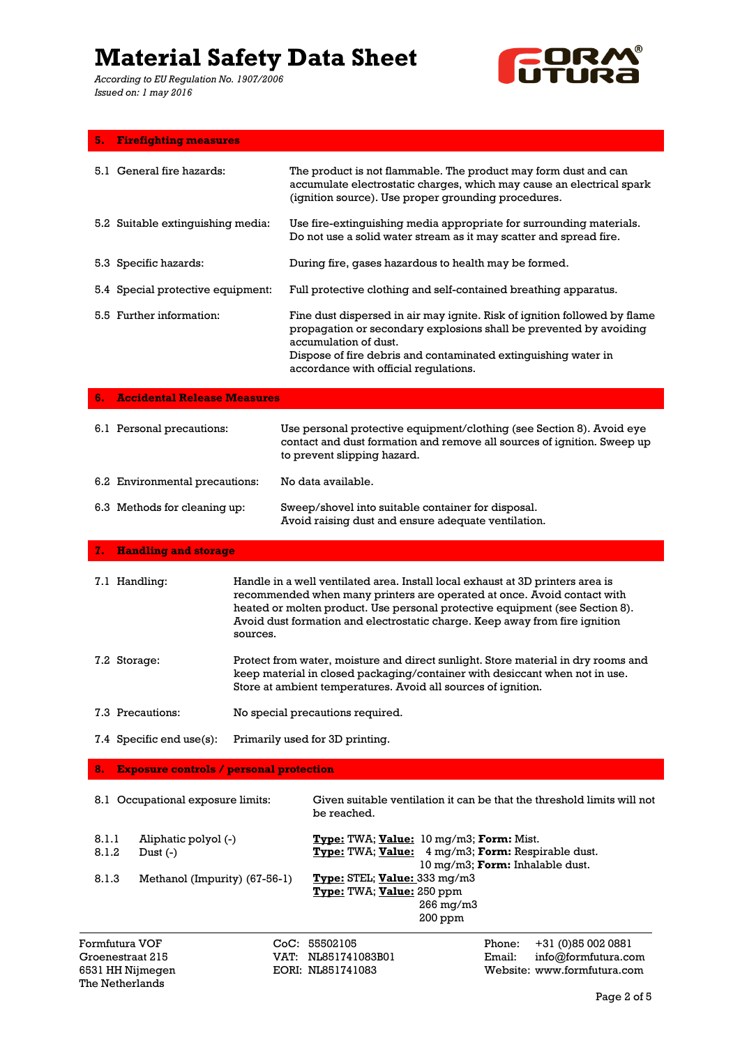*According to EU Regulation No. 1907/2006 Issued on: 1 may 2016*

The Netherlands



| 5.                                                     | <b>Firefighting measures</b>                                        |                                                                                                                                                                                                                                                                                                                                      |                                                                                                                                                                                                                                                                                     |  |
|--------------------------------------------------------|---------------------------------------------------------------------|--------------------------------------------------------------------------------------------------------------------------------------------------------------------------------------------------------------------------------------------------------------------------------------------------------------------------------------|-------------------------------------------------------------------------------------------------------------------------------------------------------------------------------------------------------------------------------------------------------------------------------------|--|
|                                                        | 5.1 General fire hazards:                                           |                                                                                                                                                                                                                                                                                                                                      | The product is not flammable. The product may form dust and can<br>accumulate electrostatic charges, which may cause an electrical spark<br>(ignition source). Use proper grounding procedures.                                                                                     |  |
|                                                        | 5.2 Suitable extinguishing media:                                   |                                                                                                                                                                                                                                                                                                                                      | Use fire-extinguishing media appropriate for surrounding materials.<br>Do not use a solid water stream as it may scatter and spread fire.                                                                                                                                           |  |
|                                                        | 5.3 Specific hazards:                                               |                                                                                                                                                                                                                                                                                                                                      | During fire, gases hazardous to health may be formed.                                                                                                                                                                                                                               |  |
|                                                        | 5.4 Special protective equipment:                                   |                                                                                                                                                                                                                                                                                                                                      | Full protective clothing and self-contained breathing apparatus.                                                                                                                                                                                                                    |  |
|                                                        | 5.5 Further information:                                            |                                                                                                                                                                                                                                                                                                                                      | Fine dust dispersed in air may ignite. Risk of ignition followed by flame<br>propagation or secondary explosions shall be prevented by avoiding<br>accumulation of dust.<br>Dispose of fire debris and contaminated extinguishing water in<br>accordance with official regulations. |  |
| 6.                                                     | <b>Accidental Release Measures</b>                                  |                                                                                                                                                                                                                                                                                                                                      |                                                                                                                                                                                                                                                                                     |  |
|                                                        | 6.1 Personal precautions:                                           |                                                                                                                                                                                                                                                                                                                                      | Use personal protective equipment/clothing (see Section 8). Avoid eye<br>contact and dust formation and remove all sources of ignition. Sweep up<br>to prevent slipping hazard.                                                                                                     |  |
|                                                        | 6.2 Environmental precautions:                                      |                                                                                                                                                                                                                                                                                                                                      | No data available.                                                                                                                                                                                                                                                                  |  |
|                                                        | 6.3 Methods for cleaning up:                                        |                                                                                                                                                                                                                                                                                                                                      | Sweep/shovel into suitable container for disposal.<br>Avoid raising dust and ensure adequate ventilation.                                                                                                                                                                           |  |
| 7.                                                     | <b>Handling and storage</b>                                         |                                                                                                                                                                                                                                                                                                                                      |                                                                                                                                                                                                                                                                                     |  |
| 7.1 Handling:                                          |                                                                     | Handle in a well ventilated area. Install local exhaust at 3D printers area is<br>recommended when many printers are operated at once. Avoid contact with<br>heated or molten product. Use personal protective equipment (see Section 8).<br>Avoid dust formation and electrostatic charge. Keep away from fire ignition<br>sources. |                                                                                                                                                                                                                                                                                     |  |
| 7.2 Storage:                                           |                                                                     | Protect from water, moisture and direct sunlight. Store material in dry rooms and<br>keep material in closed packaging/container with desiccant when not in use.<br>Store at ambient temperatures. Avoid all sources of ignition.                                                                                                    |                                                                                                                                                                                                                                                                                     |  |
| 7.3 Precautions:                                       |                                                                     |                                                                                                                                                                                                                                                                                                                                      | No special precautions required.                                                                                                                                                                                                                                                    |  |
|                                                        | 7.4 Specific end use(s):                                            |                                                                                                                                                                                                                                                                                                                                      | Primarily used for 3D printing.                                                                                                                                                                                                                                                     |  |
| 8.                                                     | <b>Exposure controls / personal protection</b>                      |                                                                                                                                                                                                                                                                                                                                      |                                                                                                                                                                                                                                                                                     |  |
|                                                        | 8.1 Occupational exposure limits:                                   |                                                                                                                                                                                                                                                                                                                                      | Given suitable ventilation it can be that the threshold limits will not<br>be reached.                                                                                                                                                                                              |  |
| 8.1.1<br>8.1.2<br>8.1.3                                | Aliphatic polyol (-)<br>Dust $(-)$<br>Methanol (Impurity) (67-56-1) |                                                                                                                                                                                                                                                                                                                                      | Type: TWA; Value: 10 mg/m3; Form: Mist.<br>Type: TWA; Value: 4 mg/m3; Form: Respirable dust.<br>10 mg/m3; Form: Inhalable dust.<br>Type: STEL; Value: 333 mg/m3<br>Type: TWA; Value: 250 ppm<br>266 mg/m3<br>200 ppm                                                                |  |
| Formfutura VOF<br>Groenestraat 215<br>6531 HH Nijmegen |                                                                     |                                                                                                                                                                                                                                                                                                                                      | CoC: 55502105<br>+31 (0)85 002 0881<br>Phone:<br>VAT: NL851741083B01<br>Email:<br>info@formfutura.com<br>EORI: NL851741083<br>Website: www.formfutura.com                                                                                                                           |  |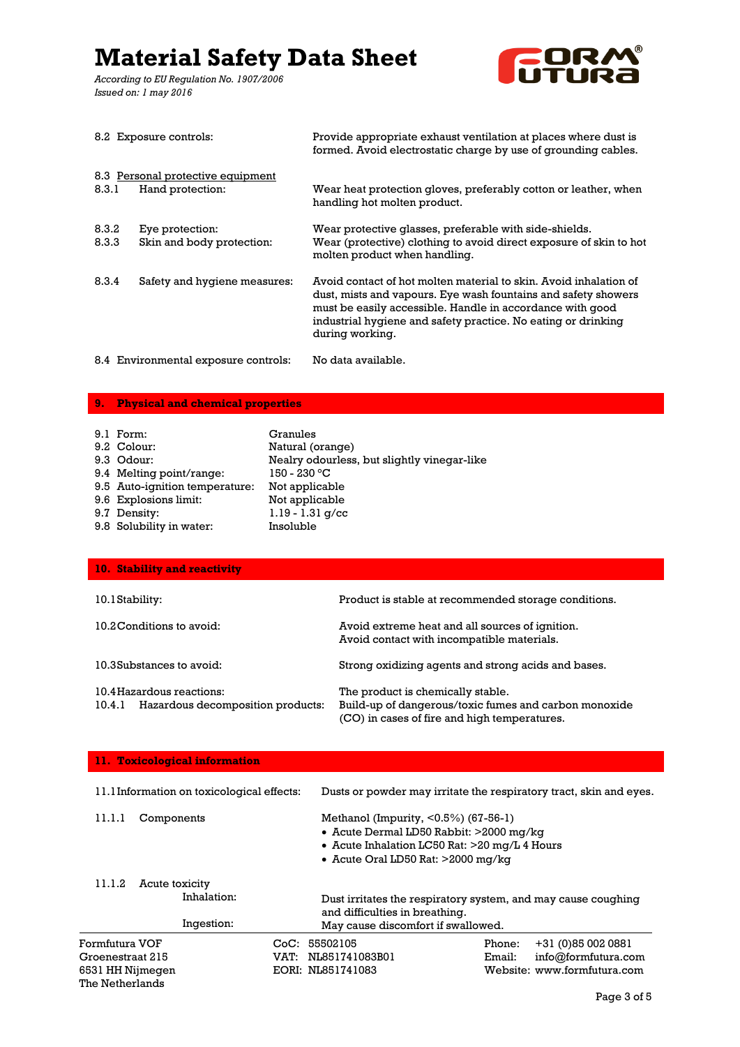*According to EU Regulation No. 1907/2006 Issued on: 1 may 2016*



|                | 8.2 Exposure controls:                                | Provide appropriate exhaust ventilation at places where dust is<br>formed. Avoid electrostatic charge by use of grounding cables.                                                                                                                                                    |
|----------------|-------------------------------------------------------|--------------------------------------------------------------------------------------------------------------------------------------------------------------------------------------------------------------------------------------------------------------------------------------|
| 8.3.1          | 8.3 Personal protective equipment<br>Hand protection: | Wear heat protection gloves, preferably cotton or leather, when<br>handling hot molten product.                                                                                                                                                                                      |
| 8.3.2<br>8.3.3 | Eye protection:<br>Skin and body protection:          | Wear protective glasses, preferable with side-shields.<br>Wear (protective) clothing to avoid direct exposure of skin to hot<br>molten product when handling.                                                                                                                        |
| 8.3.4          | Safety and hygiene measures:                          | Avoid contact of hot molten material to skin. Avoid inhalation of<br>dust, mists and vapours. Eye wash fountains and safety showers<br>must be easily accessible. Handle in accordance with good<br>industrial hygiene and safety practice. No eating or drinking<br>during working. |
|                | 8.4 Environmental exposure controls:                  | No data available.                                                                                                                                                                                                                                                                   |

#### **9. Physical and chemical properties**

| 9.1 Form:                      | Granules                                    |
|--------------------------------|---------------------------------------------|
| 9.2 Colour:                    | Natural (orange)                            |
| 9.3 Odour:                     | Nealry odourless, but slightly vinegar-like |
| 9.4 Melting point/range:       | $150 - 230$ °C                              |
| 9.5 Auto-ignition temperature: | Not applicable                              |
| 9.6 Explosions limit:          | Not applicable                              |
| 9.7 Density:                   | $1.19 - 1.31$ g/cc                          |
| 9.8 Solubility in water:       | Insoluble                                   |

| 10. Stability and reactivity                                             |                                                                                                                                            |
|--------------------------------------------------------------------------|--------------------------------------------------------------------------------------------------------------------------------------------|
| 10.1 Stability:                                                          | Product is stable at recommended storage conditions.                                                                                       |
| 10.2 Conditions to avoid:                                                | Avoid extreme heat and all sources of ignition.<br>Avoid contact with incompatible materials.                                              |
| 10.3Substances to avoid:                                                 | Strong oxidizing agents and strong acids and bases.                                                                                        |
| 10.4 Hazardous reactions:<br>Hazardous decomposition products:<br>10.4.1 | The product is chemically stable.<br>Build-up of dangerous/toxic fumes and carbon monoxide<br>(CO) in cases of fire and high temperatures. |

| 11. Toxicological information                                                     |                                                                                                                                                                                  |                                                                         |
|-----------------------------------------------------------------------------------|----------------------------------------------------------------------------------------------------------------------------------------------------------------------------------|-------------------------------------------------------------------------|
| 11.1Information on toxicological effects:                                         | Dusts or powder may irritate the respiratory tract, skin and eyes.                                                                                                               |                                                                         |
| 11.1.1<br>Components                                                              | Methanol (Impurity, $\leq 0.5\%$ ) (67-56-1)<br>• Acute Dermal LD50 Rabbit: >2000 mg/kg<br>• Acute Inhalation LC50 Rat: >20 mg/L 4 Hours<br>• Acute Oral LD50 Rat: $>2000$ mg/kg |                                                                         |
| 11.1.2<br>Acute toxicity<br>Inhalation:<br>Ingestion:                             | Dust irritates the respiratory system, and may cause coughing<br>and difficulties in breathing.<br>May cause discomfort if swallowed.                                            |                                                                         |
| Formfutura VOF<br>Groenestraat 215<br>VAT:<br>6531 HH Nijmegen<br>The Netherlands | CoC: 55502105<br>Phone:<br>NL851741083B01<br>Email:<br>EORI: NL851741083                                                                                                         | $+31(0)850020881$<br>info@formfutura.com<br>Website: www.formfutura.com |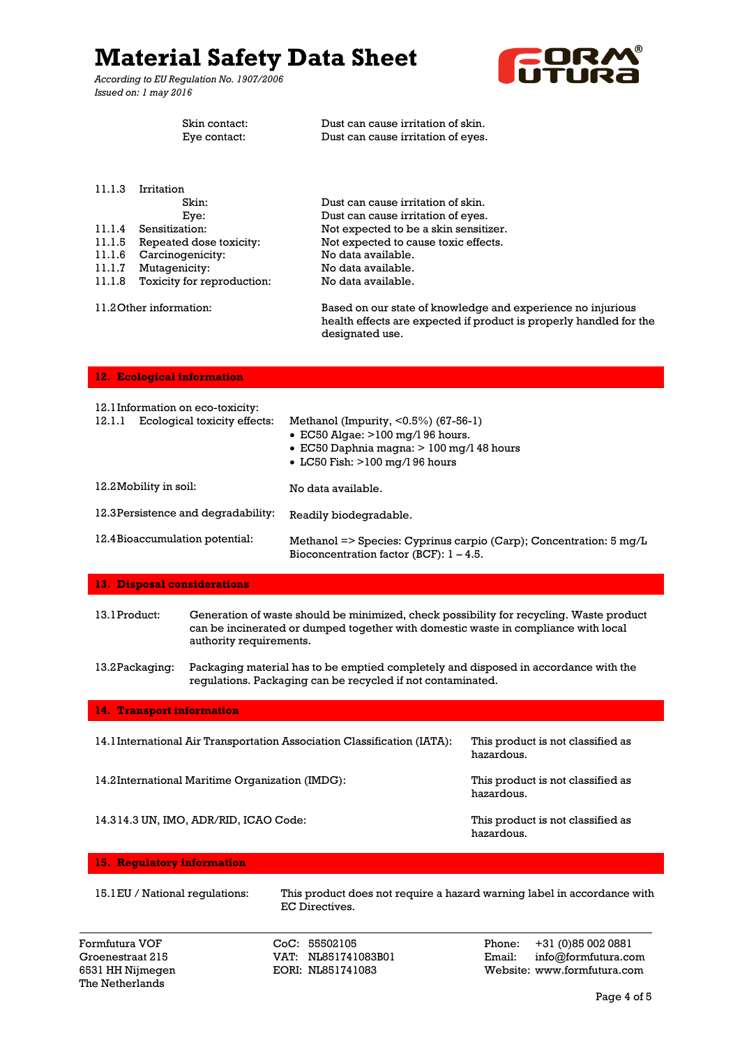*According to EU Regulation No. 1907/2006 Issued on: 1 may 2016*



|                                                          | 133466 OIL 1 11169 DOI 0                                                                                                                                               |                                                                                                                                                                                                                                                                                                                                                                                     |
|----------------------------------------------------------|------------------------------------------------------------------------------------------------------------------------------------------------------------------------|-------------------------------------------------------------------------------------------------------------------------------------------------------------------------------------------------------------------------------------------------------------------------------------------------------------------------------------------------------------------------------------|
|                                                          | Skin contact:<br>Eye contact:                                                                                                                                          | Dust can cause irritation of skin.<br>Dust can cause irritation of eyes.                                                                                                                                                                                                                                                                                                            |
| 11.1.3<br>11.1.4<br>11.1.5<br>11.1.6<br>11.1.7<br>11.1.8 | Irritation<br>Skin:<br>Eye:<br>Sensitization:<br>Repeated dose toxicity:<br>Carcinogenicity:<br>Mutagenicity:<br>Toxicity for reproduction:<br>11.2 Other information: | Dust can cause irritation of skin.<br>Dust can cause irritation of eyes.<br>Not expected to be a skin sensitizer.<br>Not expected to cause toxic effects.<br>No data available.<br>No data available.<br>No data available.<br>Based on our state of knowledge and experience no injurious<br>health effects are expected if product is properly handled for the<br>designated use. |
|                                                          | 12. Ecological information                                                                                                                                             |                                                                                                                                                                                                                                                                                                                                                                                     |
| 12.1.1                                                   | 12.1 Information on eco-toxicity:<br>Ecological toxicity effects:                                                                                                      | Methanol (Impurity, $\le 0.5\%$ ) (67-56-1)<br>$\bullet$ EC50 Algae: $>100$ mg/l 96 hours.<br>$\bullet$ EC50 Daphnia magna: $> 100$ mg/l 48 hours<br>$\bullet$ LC50 Fish: $>100$ mg/196 hours                                                                                                                                                                                       |
|                                                          | 12.2 Mobility in soil:                                                                                                                                                 | No data available.                                                                                                                                                                                                                                                                                                                                                                  |
|                                                          | 12.3 Persistence and degradability:                                                                                                                                    | Readily biodegradable.                                                                                                                                                                                                                                                                                                                                                              |
|                                                          | 12.4 Bioaccumulation potential:                                                                                                                                        | Methanol => Species: Cyprinus carpio (Carp); Concentration: 5 mg/L<br>Bioconcentration factor (BCF): $1 - 4.5$ .                                                                                                                                                                                                                                                                    |
|                                                          | 13. Disposal considerations                                                                                                                                            |                                                                                                                                                                                                                                                                                                                                                                                     |
|                                                          |                                                                                                                                                                        |                                                                                                                                                                                                                                                                                                                                                                                     |

13.1Product: Generation of waste should be minimized, check possibility for recycling. Waste product can be incinerated or dumped together with domestic waste in compliance with local authority requirements.

13.2Packaging: Packaging material has to be emptied completely and disposed in accordance with the regulations. Packaging can be recycled if not contaminated.

#### **14. Transport information**

| 14.1 International Air Transportation Association Classification (IATA): | This product is not classified as<br>hazardous. |
|--------------------------------------------------------------------------|-------------------------------------------------|
| 14.2 International Maritime Organization (IMDG):                         | This product is not classified as<br>hazardous. |
| 14.314.3 UN. IMO. ADR/RID. ICAO Code:                                    | This product is not classified as<br>hazardous. |

#### **15. Regulatory information**

15.1EU / National regulations: This product does not require a hazard warning label in accordance with EC Directives.

The Netherlands

Formfutura VOF CoC: 55502105 Phone: +31 (0)85 002 0881 Groenestraat 215 VAT: NL851741083B01 Email: info@formfutura.com 6531 HH Nijmegen EORI: NL851741083 Website: www.formfutura.com